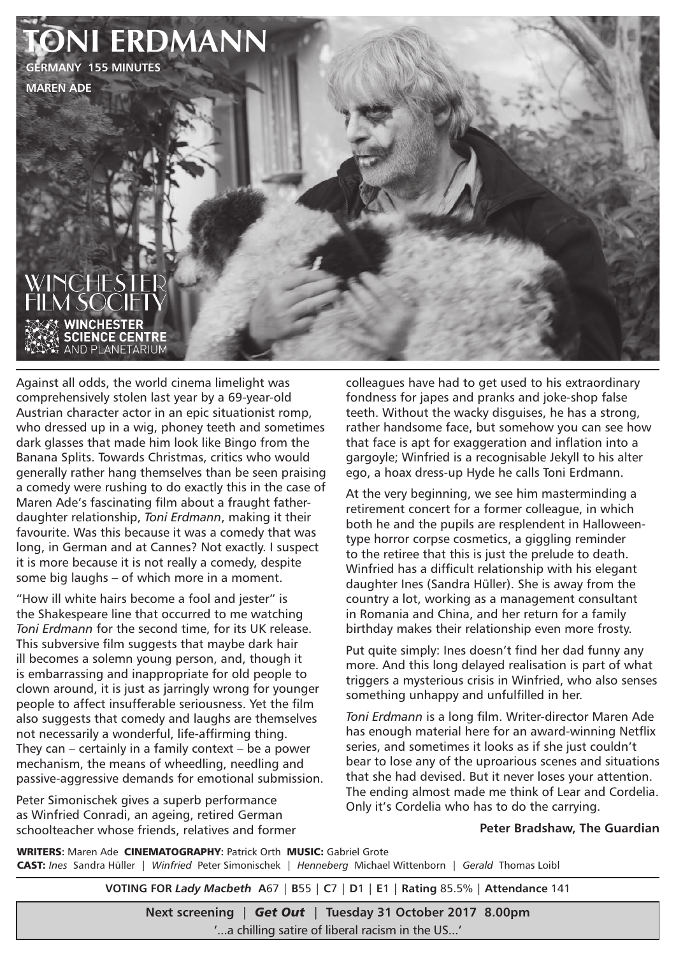

Against all odds, the world cinema limelight was comprehensively stolen last year by a 69-year-old Austrian character actor in an epic situationist romp, who dressed up in a wig, phoney teeth and sometimes dark glasses that made him look like Bingo from the Banana Splits. Towards Christmas, critics who would generally rather hang themselves than be seen praising a comedy were rushing to do exactly this in the case of Maren Ade's fascinating film about a fraught fatherdaughter relationship, *Toni Erdmann*, making it their favourite. Was this because it was a comedy that was long, in German and at Cannes? Not exactly. I suspect it is more because it is not really a comedy, despite some big laughs – of which more in a moment.

"How ill white hairs become a fool and jester" is the Shakespeare line that occurred to me watching *Toni Erdmann* for the second time, for its UK release. This subversive film suggests that maybe dark hair ill becomes a solemn young person, and, though it is embarrassing and inappropriate for old people to clown around, it is just as jarringly wrong for younger people to affect insufferable seriousness. Yet the film also suggests that comedy and laughs are themselves not necessarily a wonderful, life-affirming thing. They can – certainly in a family context – be a power mechanism, the means of wheedling, needling and passive-aggressive demands for emotional submission.

Peter Simonischek gives a superb performance as Winfried Conradi, an ageing, retired German schoolteacher whose friends, relatives and former colleagues have had to get used to his extraordinary fondness for japes and pranks and joke-shop false teeth. Without the wacky disguises, he has a strong, rather handsome face, but somehow you can see how that face is apt for exaggeration and inflation into a gargoyle; Winfried is a recognisable Jekyll to his alter ego, a hoax dress-up Hyde he calls Toni Erdmann.

At the very beginning, we see him masterminding a retirement concert for a former colleague, in which both he and the pupils are resplendent in Halloweentype horror corpse cosmetics, a giggling reminder to the retiree that this is just the prelude to death. Winfried has a difficult relationship with his elegant daughter Ines (Sandra Hüller). She is away from the country a lot, working as a management consultant in Romania and China, and her return for a family birthday makes their relationship even more frosty.

Put quite simply: Ines doesn't find her dad funny any more. And this long delayed realisation is part of what triggers a mysterious crisis in Winfried, who also senses something unhappy and unfulfilled in her.

*Toni Erdmann* is a long film. Writer-director Maren Ade has enough material here for an award-winning Netflix series, and sometimes it looks as if she just couldn't bear to lose any of the uproarious scenes and situations that she had devised. But it never loses your attention. The ending almost made me think of Lear and Cordelia. Only it's Cordelia who has to do the carrying.

## **Peter Bradshaw, The Guardian**

WRITERS**:** Maren Ade CINEMATOGRAPHY**:** Patrick Orth MUSIC: Gabriel Grote CAST: *Ines* Sandra Hüller | *Winfried* Peter Simonischek | *Henneberg* Michael Wittenborn | *Gerald* Thomas Loibl

**VOTING FOR** *Lady Macbeth* **A**67 | **B**55 | **C**7 | **D**1 | **E**1 | **Rating** 85.5% | **Attendance** 141

**Next screening** | *Get Out* | **Tuesday 31 October 2017 8.00pm**

'...a chilling satire of liberal racism in the US...'